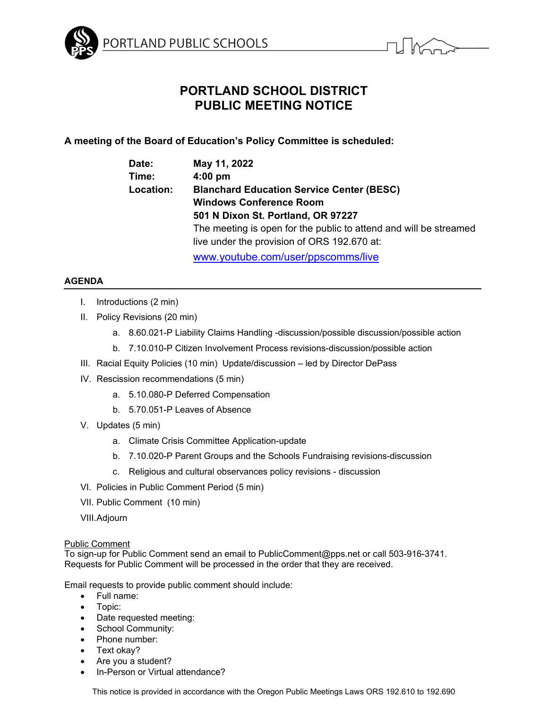



# **PORTLAND SCHOOL DISTRICT PUBLIC MEETING NOTICE**

# **A meeting of the Board of Education's Policy Committee is scheduled:**

| Date:            | May 11, 2022                                                      |
|------------------|-------------------------------------------------------------------|
| Time:            | $4:00$ pm                                                         |
| <b>Location:</b> | <b>Blanchard Education Service Center (BESC)</b>                  |
|                  | <b>Windows Conference Room</b>                                    |
|                  | 501 N Dixon St. Portland, OR 97227                                |
|                  | The meeting is open for the public to attend and will be streamed |
|                  | live under the provision of ORS 192.670 at:                       |
|                  | www.youtube.com/user/ppscomms/live                                |

## **AGENDA**

- I. Introductions (2 min)
- II. Policy Revisions (20 min)
	- a. 8.60.021-P Liability Claims Handling -discussion/possible discussion/possible action
	- b. 7.10.010-P Citizen Involvement Process revisions-discussion/possible action
- III. Racial Equity Policies (10 min) Update/discussion led by Director DePass
- IV. Rescission recommendations (5 min)
	- a. 5.10.080-P Deferred Compensation
	- b. 5.70.051-P Leaves of Absence
- V. Updates (5 min)
	- a. Climate Crisis Committee Application-update
	- b. 7.10.020-P Parent Groups and the Schools Fundraising revisions-discussion
	- c. Religious and cultural observances policy revisions discussion
- VI. Policies in Public Comment Period (5 min)
- VII. Public Comment (10 min)
- VIII.Adjourn

### Public Comment

To sign-up for Public Comment send an email to PublicComment@pps.net or call 503-916-3741. Requests for Public Comment will be processed in the order that they are received.

Email requests to provide public comment should include:

- Full name:
- Topic:
- Date requested meeting:
- School Community:
- Phone number:
- Text okay?
- Are you a student?
- In-Person or Virtual attendance?

This notice is provided in accordance with the Oregon Public Meetings Laws ORS 192.610 to 192.690